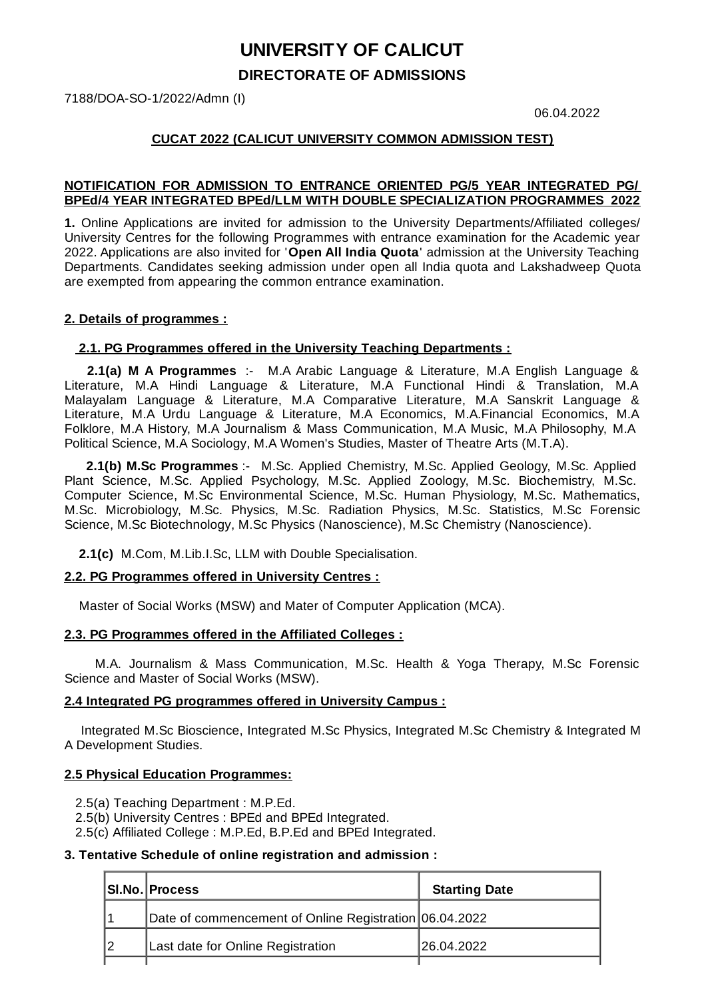# **UNIVERSITY OF CALICUT DIRECTORATE OF ADMISSIONS**

7188/DOA-SO-1/2022/Admn (I)

06.04.2022

### **CUCAT 2022 (CALICUT UNIVERSITY COMMON ADMISSION TEST)**

#### **NOTIFICATION FOR ADMISSION TO ENTRANCE ORIENTED PG/5 YEAR INTEGRATED PG/ BPEd/4 YEAR INTEGRATED BPEd/LLM WITH DOUBLE SPECIALIZATION PROGRAMMES 2022**

**1.** Online Applications are invited for admission to the University Departments/Affiliated colleges/ University Centres for the following Programmes with entrance examination for the Academic year 2022. Applications are also invited for '**Open All India Quota**' admission at the University Teaching Departments. Candidates seeking admission under open all India quota and Lakshadweep Quota are exempted from appearing the common entrance examination.

#### **2. Details of programmes :**

#### **2.1. PG Programmes offered in the University Teaching Departments :**

**2.1(a) M A Programmes** :- M.A Arabic Language & Literature, M.A English Language & Literature, M.A Hindi Language & Literature, M.A Functional Hindi & Translation, M.A Malayalam Language & Literature, M.A Comparative Literature, M.A Sanskrit Language & Literature, M.A Urdu Language & Literature, M.A Economics, M.A.Financial Economics, M.A Folklore, M.A History, M.A Journalism & Mass Communication, M.A Music, M.A Philosophy, M.A Political Science, M.A Sociology, M.A Women's Studies, Master of Theatre Arts (M.T.A).

**2.1(b) M.Sc Programmes** :- M.Sc. Applied Chemistry, M.Sc. Applied Geology, M.Sc. Applied Plant Science, M.Sc. Applied Psychology, M.Sc. Applied Zoology, M.Sc. Biochemistry, M.Sc. Computer Science, M.Sc Environmental Science, M.Sc. Human Physiology, M.Sc. Mathematics, M.Sc. Microbiology, M.Sc. Physics, M.Sc. Radiation Physics, M.Sc. Statistics, M.Sc Forensic Science, M.Sc Biotechnology, M.Sc Physics (Nanoscience), M.Sc Chemistry (Nanoscience).

**2.1(c)** M.Com, M.Lib.I.Sc, LLM with Double Specialisation.

#### **2.2. PG Programmes offered in University Centres :**

Master of Social Works (MSW) and Mater of Computer Application (MCA).

#### **2.3. PG Programmes offered in the Affiliated Colleges :**

M.A. Journalism & Mass Communication, M.Sc. Health & Yoga Therapy, M.Sc Forensic Science and Master of Social Works (MSW).

#### **2.4 Integrated PG programmes offered in University Campus :**

Integrated M.Sc Bioscience, Integrated M.Sc Physics, Integrated M.Sc Chemistry & Integrated M A Development Studies.

#### **2.5 Physical Education Programmes:**

- 2.5(a) Teaching Department : M.P.Ed.
- 2.5(b) University Centres : BPEd and BPEd Integrated.
- 2.5(c) Affiliated College : M.P.Ed, B.P.Ed and BPEd Integrated.

#### **3. Tentative Schedule of online registration and admission :**

| SI.No. Process                                         | <b>Starting Date</b> |
|--------------------------------------------------------|----------------------|
| Date of commencement of Online Registration 06.04.2022 |                      |
| Last date for Online Registration                      | 126.04.2022          |
|                                                        |                      |